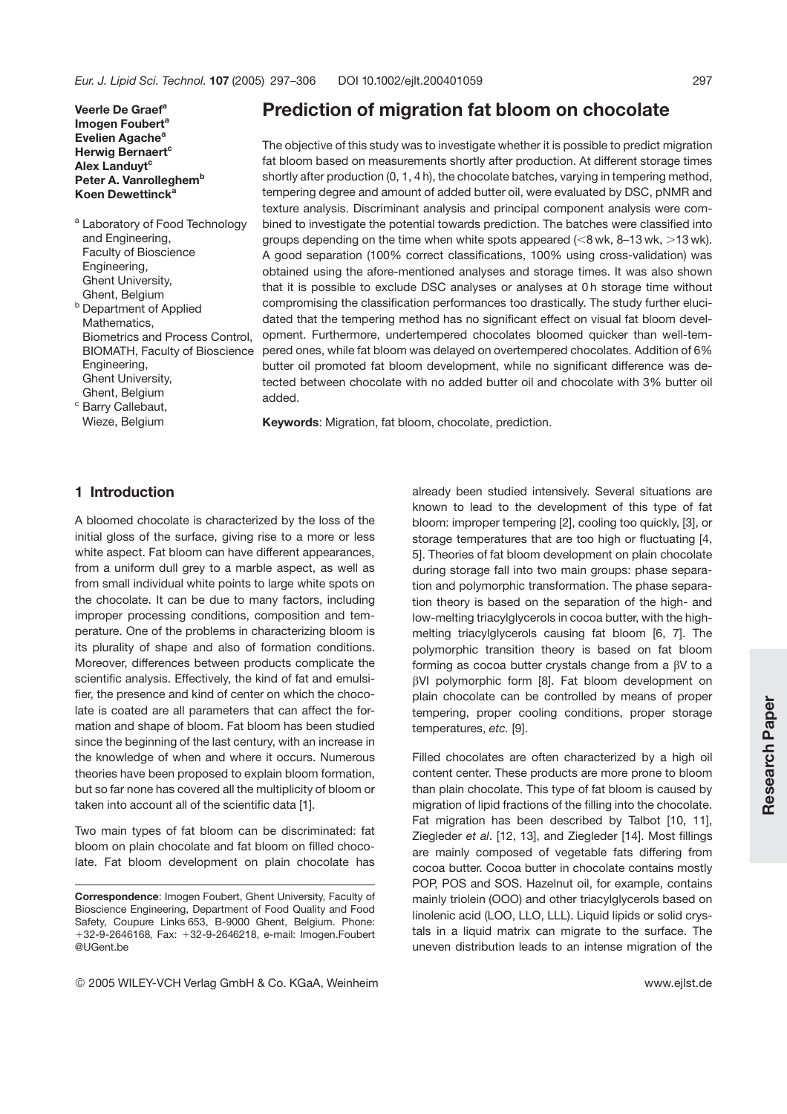**Veerle De Graefa Imogen Foubert<sup>a</sup> Evelien Agache<sup>a</sup> Herwig Bernaert<sup>c</sup> Alex Landuyt<sup>c</sup> Peter A. Vanrolleghem<sup>b</sup> Koen Dewettinck<sup>a</sup>**

- a Laboratory of Food Technology and Engineering, Faculty of Bioscience Engineering, Ghent University, Ghent, Belgium **b** Department of Applied Mathematics, Biometrics and Process Control, BIOMATH, Faculty of Bioscience Engineering, Ghent University, Ghent, Belgium
- <sup>c</sup> Barry Callebaut, Wieze, Belgium

# **Prediction of migration fat bloom on chocolate**

The objective of this study was to investigate whether it is possible to predict migration fat bloom based on measurements shortly after production. At different storage times shortly after production (0, 1, 4 h), the chocolate batches, varying in tempering method, tempering degree and amount of added butter oil, were evaluated by DSC, pNMR and texture analysis. Discriminant analysis and principal component analysis were combined to investigate the potential towards prediction. The batches were classified into groups depending on the time when white spots appeared  $(<8$  wk,  $8-13$  wk,  $>13$  wk). A good separation (100% correct classifications, 100% using cross-validation) was obtained using the afore-mentioned analyses and storage times. It was also shown that it is possible to exclude DSC analyses or analyses at 0 h storage time without compromising the classification performances too drastically. The study further elucidated that the tempering method has no significant effect on visual fat bloom development. Furthermore, undertempered chocolates bloomed quicker than well-tempered ones, while fat bloom was delayed on overtempered chocolates. Addition of 6% butter oil promoted fat bloom development, while no significant difference was detected between chocolate with no added butter oil and chocolate with 3% butter oil added.

**Keywords**: Migration, fat bloom, chocolate, prediction.

# **1 Introduction**

A bloomed chocolate is characterized by the loss of the initial gloss of the surface, giving rise to a more or less white aspect. Fat bloom can have different appearances, from a uniform dull grey to a marble aspect, as well as from small individual white points to large white spots on the chocolate. It can be due to many factors, including improper processing conditions, composition and temperature. One of the problems in characterizing bloom is its plurality of shape and also of formation conditions. Moreover, differences between products complicate the scientific analysis. Effectively, the kind of fat and emulsifier, the presence and kind of center on which the chocolate is coated are all parameters that can affect the formation and shape of bloom. Fat bloom has been studied since the beginning of the last century, with an increase in the knowledge of when and where it occurs. Numerous theories have been proposed to explain bloom formation, but so far none has covered all the multiplicity of bloom or taken into account all of the scientific data [1].

Two main types of fat bloom can be discriminated: fat bloom on plain chocolate and fat bloom on filled chocolate. Fat bloom development on plain chocolate has

already been studied intensively. Several situations are known to lead to the development of this type of fat bloom: improper tempering [2], cooling too quickly, [3], or storage temperatures that are too high or fluctuating [4, 5]. Theories of fat bloom development on plain chocolate during storage fall into two main groups: phase separation and polymorphic transformation. The phase separation theory is based on the separation of the high- and low-melting triacylglycerols in cocoa butter, with the highmelting triacylglycerols causing fat bloom [6, 7]. The polymorphic transition theory is based on fat bloom forming as cocoa butter crystals change from a  $\beta V$  to a  $\beta$ VI polymorphic form  $[8]$ . Fat bloom development on plain chocolate can be controlled by means of proper tempering, proper cooling conditions, proper storage temperatures, *etc.* [9].

Filled chocolates are often characterized by a high oil content center. These products are more prone to bloom than plain chocolate. This type of fat bloom is caused by migration of lipid fractions of the filling into the chocolate. Fat migration has been described by Talbot [10, 11], Ziegleder *et al*. [12, 13], and Ziegleder [14]. Most fillings are mainly composed of vegetable fats differing from cocoa butter. Cocoa butter in chocolate contains mostly POP, POS and SOS. Hazelnut oil, for example, contains mainly triolein (OOO) and other triacylglycerols based on linolenic acid (LOO, LLO, LLL). Liquid lipids or solid crystals in a liquid matrix can migrate to the surface. The uneven distribution leads to an intense migration of the

**Correspondence**: Imogen Foubert, Ghent University, Faculty of Bioscience Engineering, Department of Food Quality and Food Safety, Coupure Links 653, B-9000 Ghent, Belgium. Phone: 132-9-2646168, Fax: 132-9-2646218, e-mail: Imogen.Foubert @UGent.be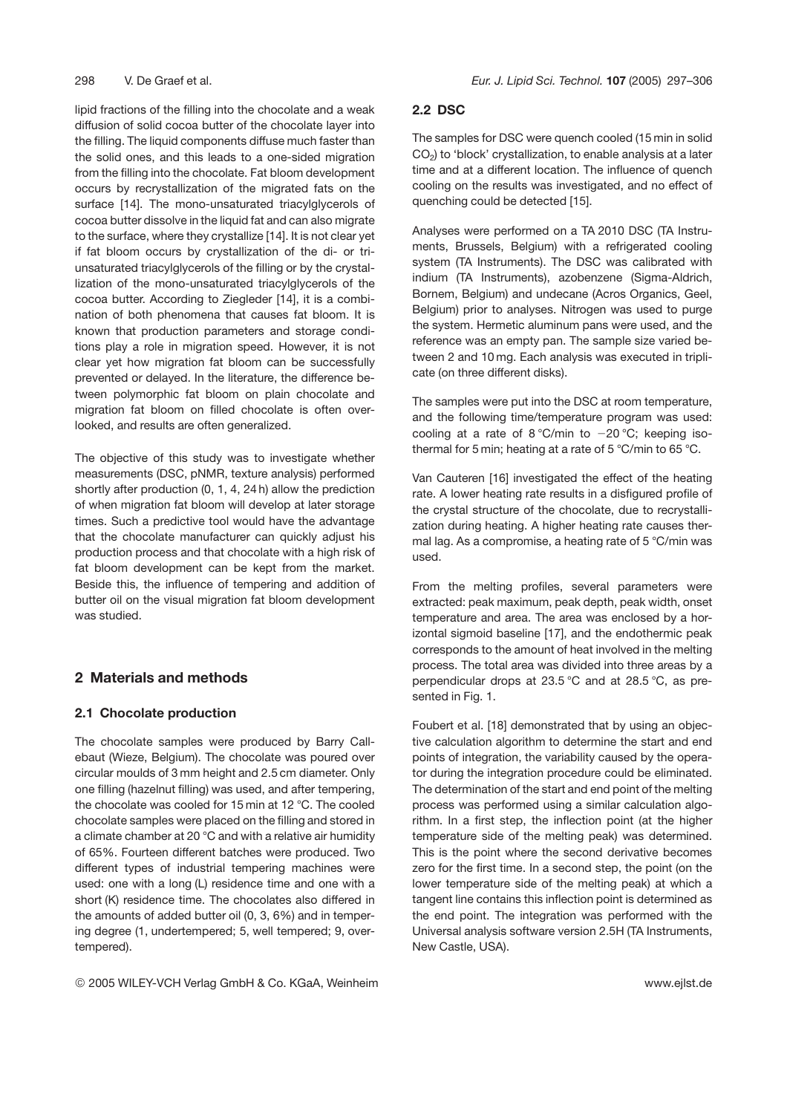lipid fractions of the filling into the chocolate and a weak diffusion of solid cocoa butter of the chocolate layer into the filling. The liquid components diffuse much faster than the solid ones, and this leads to a one-sided migration from the filling into the chocolate. Fat bloom development occurs by recrystallization of the migrated fats on the surface [14]. The mono-unsaturated triacylgiveerols of cocoa butter dissolve in the liquid fat and can also migrate to the surface, where they crystallize [14]. It is not clear yet if fat bloom occurs by crystallization of the di- or triunsaturated triacylglycerols of the filling or by the crystallization of the mono-unsaturated triacylglycerols of the cocoa butter. According to Ziegleder [14], it is a combination of both phenomena that causes fat bloom. It is known that production parameters and storage conditions play a role in migration speed. However, it is not clear yet how migration fat bloom can be successfully prevented or delayed. In the literature, the difference between polymorphic fat bloom on plain chocolate and migration fat bloom on filled chocolate is often overlooked, and results are often generalized.

The objective of this study was to investigate whether measurements (DSC, pNMR, texture analysis) performed shortly after production (0, 1, 4, 24 h) allow the prediction of when migration fat bloom will develop at later storage times. Such a predictive tool would have the advantage that the chocolate manufacturer can quickly adjust his production process and that chocolate with a high risk of fat bloom development can be kept from the market. Beside this, the influence of tempering and addition of butter oil on the visual migration fat bloom development was studied.

# **2 Materials and methods**

#### **2.1 Chocolate production**

The chocolate samples were produced by Barry Callebaut (Wieze, Belgium). The chocolate was poured over circular moulds of 3 mm height and 2.5 cm diameter. Only one filling (hazelnut filling) was used, and after tempering, the chocolate was cooled for 15 min at 12 °C. The cooled chocolate samples were placed on the filling and stored in a climate chamber at 20 $\degree$ C and with a relative air humidity of 65%. Fourteen different batches were produced. Two different types of industrial tempering machines were used: one with a long (L) residence time and one with a short (K) residence time. The chocolates also differed in the amounts of added butter oil (0, 3, 6%) and in tempering degree (1, undertempered; 5, well tempered; 9, overtempered).

### **2.2 DSC**

The samples for DSC were quench cooled (15 min in solid  $CO<sub>2</sub>$ ) to 'block' crystallization, to enable analysis at a later time and at a different location. The influence of quench cooling on the results was investigated, and no effect of quenching could be detected [15].

Analyses were performed on a TA 2010 DSC (TA Instruments, Brussels, Belgium) with a refrigerated cooling system (TA Instruments). The DSC was calibrated with indium (TA Instruments), azobenzene (Sigma-Aldrich, Bornem, Belgium) and undecane (Acros Organics, Geel, Belgium) prior to analyses. Nitrogen was used to purge the system. Hermetic aluminum pans were used, and the reference was an empty pan. The sample size varied between 2 and 10 mg. Each analysis was executed in triplicate (on three different disks).

The samples were put into the DSC at room temperature, and the following time/temperature program was used: cooling at a rate of 8 °C/min to  $-20$  °C; keeping isothermal for 5 min; heating at a rate of 5 °C/min to 65 °C.

Van Cauteren [16] investigated the effect of the heating rate. A lower heating rate results in a disfigured profile of the crystal structure of the chocolate, due to recrystallization during heating. A higher heating rate causes thermal lag. As a compromise, a heating rate of 5 °C/min was used.

From the melting profiles, several parameters were extracted: peak maximum, peak depth, peak width, onset temperature and area. The area was enclosed by a horizontal sigmoid baseline [17], and the endothermic peak corresponds to the amount of heat involved in the melting process. The total area was divided into three areas by a perpendicular drops at 23.5 °C and at 28.5 °C, as presented in Fig. 1.

Foubert et al. [18] demonstrated that by using an objective calculation algorithm to determine the start and end points of integration, the variability caused by the operator during the integration procedure could be eliminated. The determination of the start and end point of the melting process was performed using a similar calculation algorithm. In a first step, the inflection point (at the higher temperature side of the melting peak) was determined. This is the point where the second derivative becomes zero for the first time. In a second step, the point (on the lower temperature side of the melting peak) at which a tangent line contains this inflection point is determined as the end point. The integration was performed with the Universal analysis software version 2.5H (TA Instruments, New Castle, USA).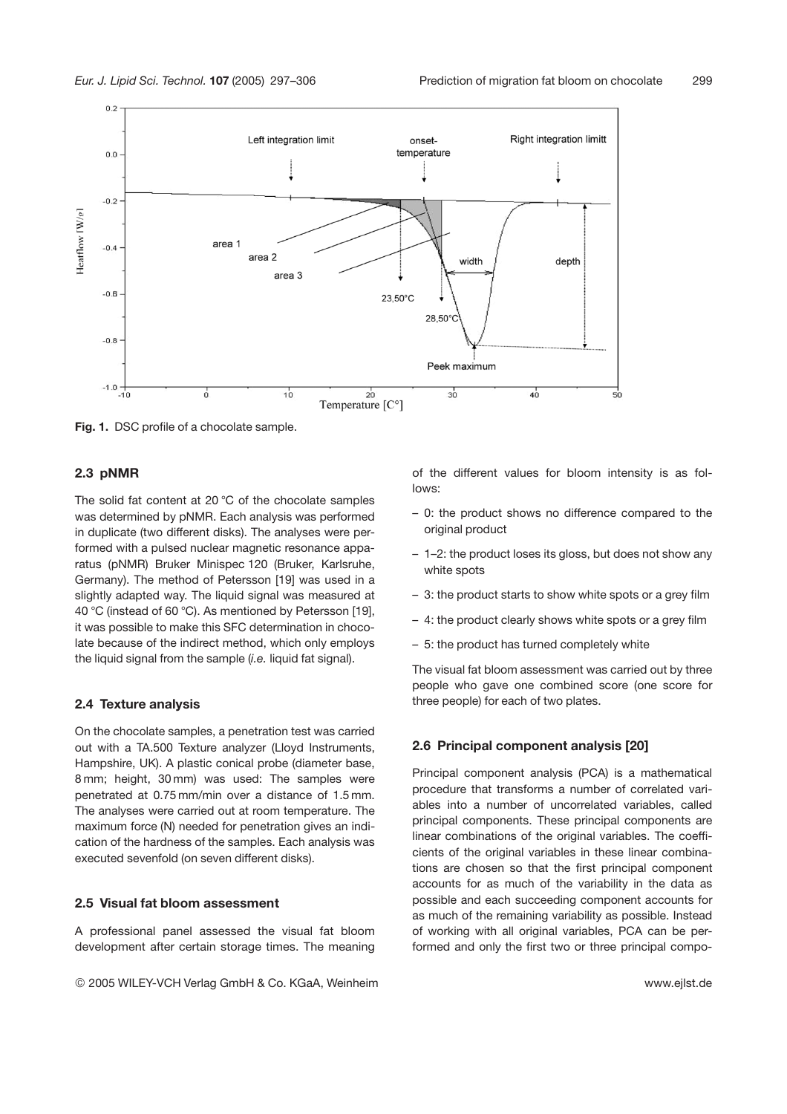

**Fig. 1.** DSC profile of a chocolate sample.

# **2.3 pNMR**

The solid fat content at 20 $\degree$ C of the chocolate samples was determined by pNMR. Each analysis was performed in duplicate (two different disks). The analyses were performed with a pulsed nuclear magnetic resonance apparatus (pNMR) Bruker Minispec 120 (Bruker, Karlsruhe, Germany). The method of Petersson [19] was used in a slightly adapted way. The liquid signal was measured at 40 °C (instead of 60 °C). As mentioned by Petersson [19], it was possible to make this SFC determination in chocolate because of the indirect method, which only employs the liquid signal from the sample (*i.e.* liquid fat signal).

## **2.4 Texture analysis**

On the chocolate samples, a penetration test was carried out with a TA.500 Texture analyzer (Lloyd Instruments, Hampshire, UK). A plastic conical probe (diameter base, 8 mm; height, 30 mm) was used: The samples were penetrated at 0.75 mm/min over a distance of 1.5 mm. The analyses were carried out at room temperature. The maximum force (N) needed for penetration gives an indication of the hardness of the samples. Each analysis was executed sevenfold (on seven different disks).

# **2.5 Visual fat bloom assessment**

A professional panel assessed the visual fat bloom development after certain storage times. The meaning

2005 WILEY-VCH Verlag GmbH & Co. KGaA, Weinheim www.ejlst.de

of the different values for bloom intensity is as follows:

- 0: the product shows no difference compared to the original product
- 1–2: the product loses its gloss, but does not show any white spots
- 3: the product starts to show white spots or a grey film
- 4: the product clearly shows white spots or a grey film
- 5: the product has turned completely white

The visual fat bloom assessment was carried out by three people who gave one combined score (one score for three people) for each of two plates.

#### **2.6 Principal component analysis [20]**

Principal component analysis (PCA) is a mathematical procedure that transforms a number of correlated variables into a number of uncorrelated variables, called principal components. These principal components are linear combinations of the original variables. The coefficients of the original variables in these linear combinations are chosen so that the first principal component accounts for as much of the variability in the data as possible and each succeeding component accounts for as much of the remaining variability as possible. Instead of working with all original variables, PCA can be performed and only the first two or three principal compo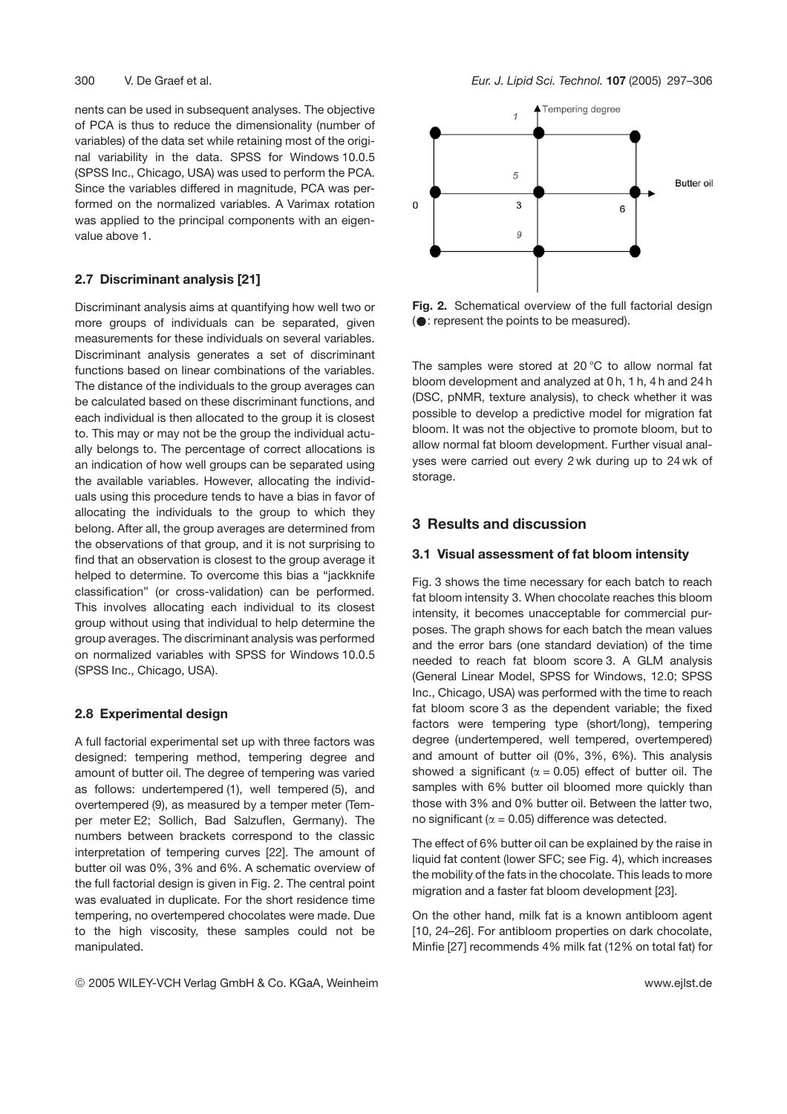nents can be used in subsequent analyses. The objective of PCA is thus to reduce the dimensionality (number of variables) of the data set while retaining most of the original variability in the data. SPSS for Windows 10.0.5 (SPSS Inc., Chicago, USA) was used to perform the PCA. Since the variables differed in magnitude, PCA was performed on the normalized variables. A Varimax rotation was applied to the principal components with an eigenvalue above 1.

#### **2.7 Discriminant analysis [21]**

Discriminant analysis aims at quantifying how well two or more groups of individuals can be separated, given measurements for these individuals on several variables. Discriminant analysis generates a set of discriminant functions based on linear combinations of the variables. The distance of the individuals to the group averages can be calculated based on these discriminant functions, and each individual is then allocated to the group it is closest to. This may or may not be the group the individual actually belongs to. The percentage of correct allocations is an indication of how well groups can be separated using the available variables. However, allocating the individuals using this procedure tends to have a bias in favor of allocating the individuals to the group to which they belong. After all, the group averages are determined from the observations of that group, and it is not surprising to find that an observation is closest to the group average it helped to determine. To overcome this bias a "jackknife classification" (or cross-validation) can be performed. This involves allocating each individual to its closest group without using that individual to help determine the group averages. The discriminant analysis was performed on normalized variables with SPSS for Windows 10.0.5 (SPSS Inc., Chicago, USA).

## **2.8 Experimental design**

A full factorial experimental set up with three factors was designed: tempering method, tempering degree and amount of butter oil. The degree of tempering was varied as follows: undertempered (1), well tempered (5), and overtempered (9), as measured by a temper meter (Temper meter E2; Sollich, Bad Salzuflen, Germany). The numbers between brackets correspond to the classic interpretation of tempering curves [22]. The amount of butter oil was 0%, 3% and 6%. A schematic overview of the full factorial design is given in Fig. 2. The central point was evaluated in duplicate. For the short residence time tempering, no overtempered chocolates were made. Due to the high viscosity, these samples could not be manipulated.

300 V. De Graef et al. *Eur. J. Lipid Sci. Technol.* **107** (2005) 297–306



**Fig. 2.** Schematical overview of the full factorial design ( $\bullet$ : represent the points to be measured).

The samples were stored at 20 $\degree$ C to allow normal fat bloom development and analyzed at 0 h, 1 h, 4 h and 24 h (DSC, pNMR, texture analysis), to check whether it was possible to develop a predictive model for migration fat bloom. It was not the objective to promote bloom, but to allow normal fat bloom development. Further visual analyses were carried out every 2 wk during up to 24 wk of storage.

### **3 Results and discussion**

#### **3.1 Visual assessment of fat bloom intensity**

Fig. 3 shows the time necessary for each batch to reach fat bloom intensity 3. When chocolate reaches this bloom intensity, it becomes unacceptable for commercial purposes. The graph shows for each batch the mean values and the error bars (one standard deviation) of the time needed to reach fat bloom score 3. A GLM analysis (General Linear Model, SPSS for Windows, 12.0; SPSS Inc., Chicago, USA) was performed with the time to reach fat bloom score 3 as the dependent variable; the fixed factors were tempering type (short/long), tempering degree (undertempered, well tempered, overtempered) and amount of butter oil (0%, 3%, 6%). This analysis showed a significant ( $\alpha$  = 0.05) effect of butter oil. The samples with 6% butter oil bloomed more quickly than those with 3% and 0% butter oil. Between the latter two, no significant ( $\alpha$  = 0.05) difference was detected.

The effect of 6% butter oil can be explained by the raise in liquid fat content (lower SFC; see Fig. 4), which increases the mobility of the fats in the chocolate. This leads to more migration and a faster fat bloom development [23].

On the other hand, milk fat is a known antibloom agent [10, 24-26]. For antibloom properties on dark chocolate, Minfie [27] recommends 4% milk fat (12% on total fat) for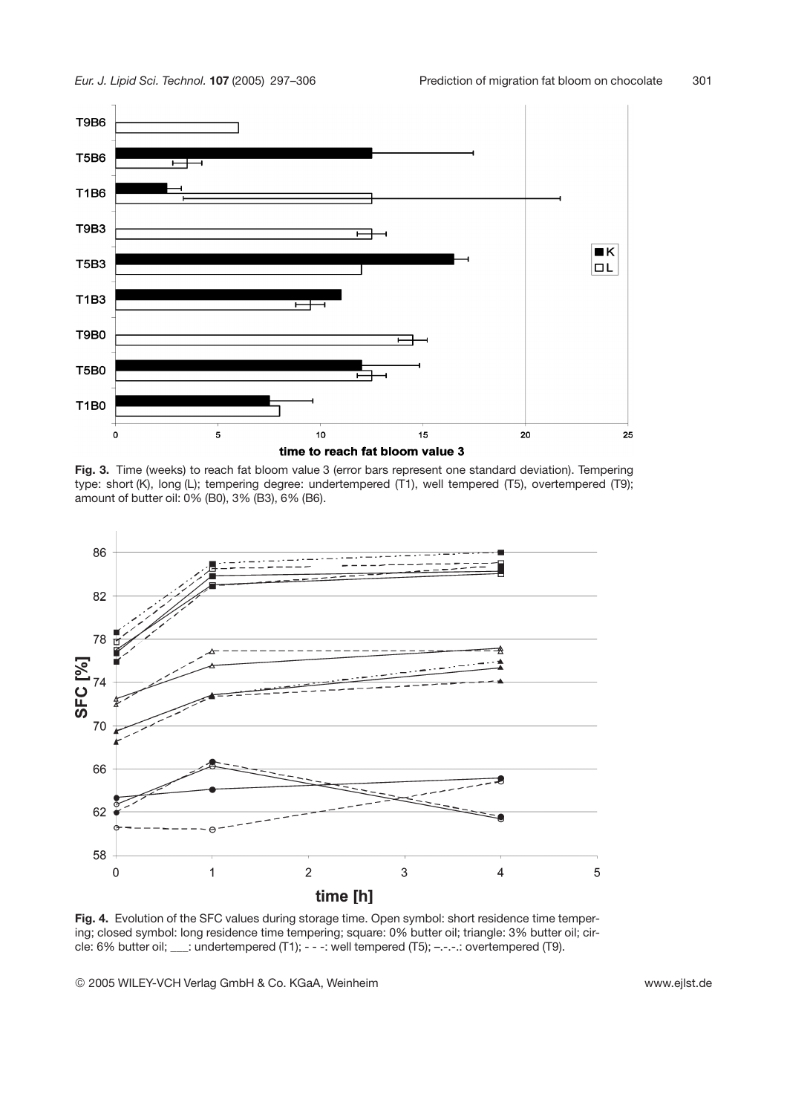

**Fig. 3.** Time (weeks) to reach fat bloom value 3 (error bars represent one standard deviation). Tempering type: short (K), long (L); tempering degree: undertempered (T1), well tempered (T5), overtempered (T9); amount of butter oil: 0% (B0), 3% (B3), 6% (B6).



Fig. 4. Evolution of the SFC values during storage time. Open symbol: short residence time tempering; closed symbol: long residence time tempering; square: 0% butter oil; triangle: 3% butter oil; circle: 6% butter oil; \_\_: undertempered (T1); - - -: well tempered (T5); - - - - : overtempered (T9).

2005 WILEY-VCH Verlag GmbH & Co. KGaA, Weinheim www.ejlst.de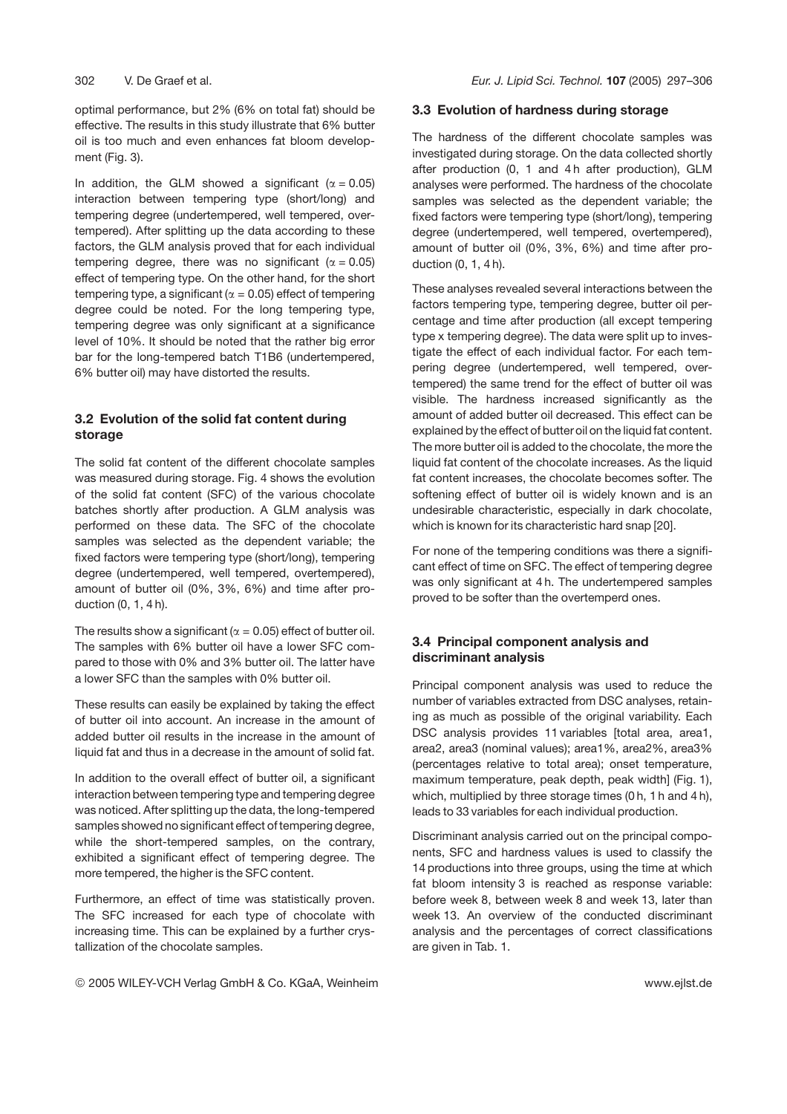302 V. De Graef et al. *Eur. J. Lipid Sci. Technol.* **107** (2005) 297–306

optimal performance, but 2% (6% on total fat) should be effective. The results in this study illustrate that 6% butter oil is too much and even enhances fat bloom development (Fig. 3).

In addition, the GLM showed a significant ( $\alpha = 0.05$ ) interaction between tempering type (short/long) and tempering degree (undertempered, well tempered, overtempered). After splitting up the data according to these factors, the GLM analysis proved that for each individual tempering degree, there was no significant ( $\alpha = 0.05$ ) effect of tempering type. On the other hand, for the short tempering type, a significant ( $\alpha$  = 0.05) effect of tempering degree could be noted. For the long tempering type, tempering degree was only significant at a significance level of 10%. It should be noted that the rather big error bar for the long-tempered batch T1B6 (undertempered, 6% butter oil) may have distorted the results.

# **3.2 Evolution of the solid fat content during storage**

The solid fat content of the different chocolate samples was measured during storage. Fig. 4 shows the evolution of the solid fat content (SFC) of the various chocolate batches shortly after production. A GLM analysis was performed on these data. The SFC of the chocolate samples was selected as the dependent variable; the fixed factors were tempering type (short/long), tempering degree (undertempered, well tempered, overtempered), amount of butter oil (0%, 3%, 6%) and time after production (0, 1, 4 h).

The results show a significant ( $\alpha = 0.05$ ) effect of butter oil. The samples with 6% butter oil have a lower SFC compared to those with 0% and 3% butter oil. The latter have a lower SFC than the samples with 0% butter oil.

These results can easily be explained by taking the effect of butter oil into account. An increase in the amount of added butter oil results in the increase in the amount of liquid fat and thus in a decrease in the amount of solid fat.

In addition to the overall effect of butter oil, a significant interaction between tempering type and tempering degree was noticed. After splitting up the data, the long-tempered samples showed no significant effect of tempering degree, while the short-tempered samples, on the contrary, exhibited a significant effect of tempering degree. The more tempered, the higher is the SFC content.

Furthermore, an effect of time was statistically proven. The SFC increased for each type of chocolate with increasing time. This can be explained by a further crystallization of the chocolate samples.

#### **3.3 Evolution of hardness during storage**

The hardness of the different chocolate samples was investigated during storage. On the data collected shortly after production (0, 1 and 4 h after production), GLM analyses were performed. The hardness of the chocolate samples was selected as the dependent variable; the fixed factors were tempering type (short/long), tempering degree (undertempered, well tempered, overtempered), amount of butter oil (0%, 3%, 6%) and time after production (0, 1, 4 h).

These analyses revealed several interactions between the factors tempering type, tempering degree, butter oil percentage and time after production (all except tempering type x tempering degree). The data were split up to investigate the effect of each individual factor. For each tempering degree (undertempered, well tempered, overtempered) the same trend for the effect of butter oil was visible. The hardness increased significantly as the amount of added butter oil decreased. This effect can be explained by the effect of butter oil on the liquid fat content. The more butter oil is added to the chocolate, the more the liquid fat content of the chocolate increases. As the liquid fat content increases, the chocolate becomes softer. The softening effect of butter oil is widely known and is an undesirable characteristic, especially in dark chocolate, which is known for its characteristic hard snap [20].

For none of the tempering conditions was there a significant effect of time on SFC. The effect of tempering degree was only significant at 4 h. The undertempered samples proved to be softer than the overtemperd ones.

# **3.4 Principal component analysis and discriminant analysis**

Principal component analysis was used to reduce the number of variables extracted from DSC analyses, retaining as much as possible of the original variability. Each DSC analysis provides 11 variables [total area, area1, area2, area3 (nominal values); area1%, area2%, area3% (percentages relative to total area); onset temperature, maximum temperature, peak depth, peak width] (Fig. 1), which, multiplied by three storage times (0 h, 1 h and 4 h), leads to 33 variables for each individual production.

Discriminant analysis carried out on the principal components, SFC and hardness values is used to classify the 14 productions into three groups, using the time at which fat bloom intensity 3 is reached as response variable: before week 8, between week 8 and week 13, later than week 13. An overview of the conducted discriminant analysis and the percentages of correct classifications are given in Tab. 1.

2005 WILEY-VCH Verlag GmbH & Co. KGaA, Weinheim www.ejlst.de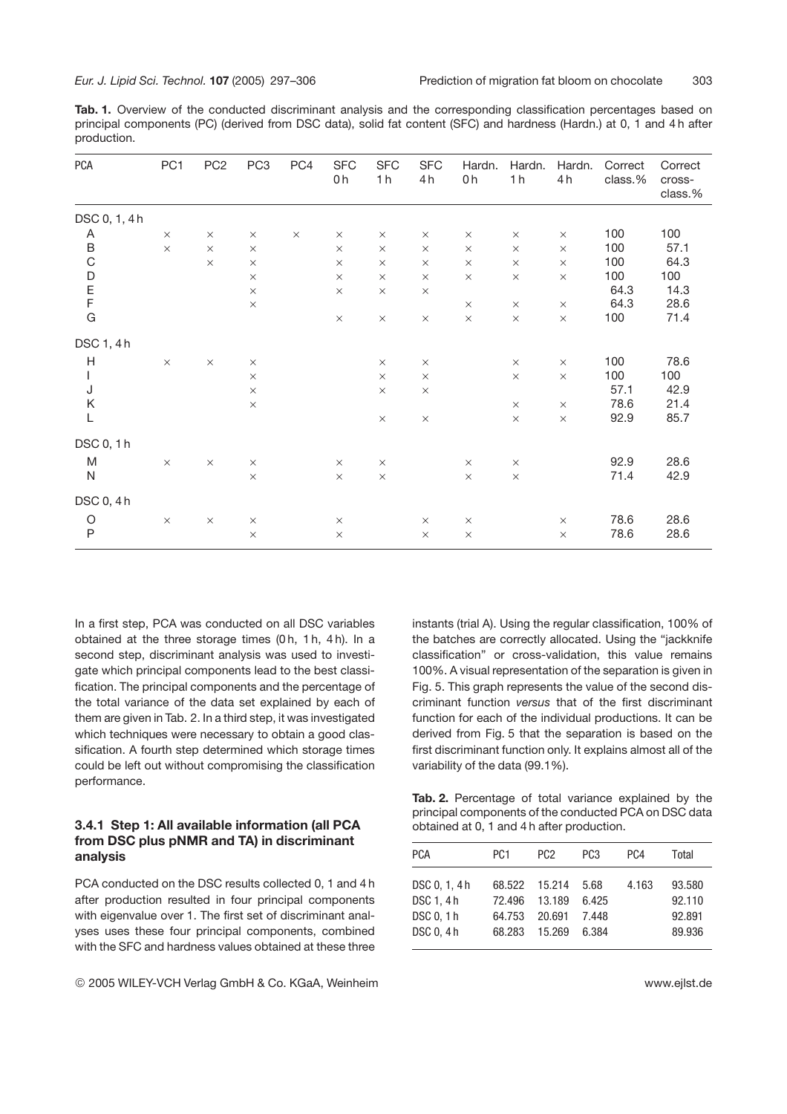**Tab. 1.** Overview of the conducted discriminant analysis and the corresponding classification percentages based on principal components (PC) (derived from DSC data), solid fat content (SFC) and hardness (Hardn.) at 0, 1 and 4 h after production.

| <b>PCA</b>     | PC <sub>1</sub> | PC <sub>2</sub> | PC <sub>3</sub> | PC4      | <b>SFC</b><br>0 <sub>h</sub> | <b>SFC</b><br>1 <sub>h</sub> | <b>SFC</b><br>4h | Hardn.<br>0 <sub>h</sub> | Hardn.<br>1 <sub>h</sub> | Hardn.<br>4h | Correct<br>class.% | Correct<br>cross-<br>class.% |
|----------------|-----------------|-----------------|-----------------|----------|------------------------------|------------------------------|------------------|--------------------------|--------------------------|--------------|--------------------|------------------------------|
| DSC 0, 1, 4h   |                 |                 |                 |          |                              |                              |                  |                          |                          |              |                    |                              |
| A              | $\times$        | $\times$        | $\times$        | $\times$ | $\times$                     | $\times$                     | $\times$         | $\times$                 | $\times$                 | $\times$     | 100                | 100                          |
|                | $\times$        | $\times$        | $\times$        |          | $\times$                     | $\times$                     | $\times$         | $\times$                 | $\times$                 | $\times$     | 100                | 57.1                         |
|                |                 | $\times$        | $\times$        |          | $\times$                     | $\times$                     | $\times$         | $\times$                 | $\times$                 | $\times$     | 100                | 64.3                         |
| <b>BCDEF</b>   |                 |                 | $\times$        |          | $\times$                     | $\times$                     | $\times$         | $\times$                 | $\times$                 | $\times$     | 100                | 100                          |
|                |                 |                 | $\times$        |          | $\times$                     | $\times$                     | $\times$         |                          |                          |              | 64.3               | 14.3                         |
|                |                 |                 | $\times$        |          |                              |                              |                  | $\times$                 | $\times$                 | $\times$     | 64.3               | 28.6                         |
| $\mathsf{G}$   |                 |                 |                 |          | $\times$                     | $\times$                     | $\times$         | $\times$                 | $\times$                 | $\times$     | 100                | 71.4                         |
| DSC 1, 4h      |                 |                 |                 |          |                              |                              |                  |                          |                          |              |                    |                              |
| $\overline{H}$ | $\times$        | $\times$        | $\times$        |          |                              | $\times$                     | $\times$         |                          | $\times$                 | $\times$     | 100                | 78.6                         |
|                |                 |                 | $\times$        |          |                              | $\times$                     | $\times$         |                          | $\times$                 | $\times$     | 100                | 100                          |
| J              |                 |                 | $\times$        |          |                              | $\times$                     | $\times$         |                          |                          |              | 57.1               | 42.9                         |
| K              |                 |                 | $\times$        |          |                              |                              |                  |                          | $\times$                 | $\times$     | 78.6               | 21.4                         |
| L              |                 |                 |                 |          |                              | $\times$                     | $\times$         |                          | $\times$                 | $\times$     | 92.9               | 85.7                         |
| DSC 0, 1h      |                 |                 |                 |          |                              |                              |                  |                          |                          |              |                    |                              |
| M              | $\times$        | $\times$        | $\times$        |          | $\times$                     | $\times$                     |                  | $\times$                 | $\times$                 |              | 92.9               | 28.6                         |
| ${\sf N}$      |                 |                 | $\times$        |          | $\times$                     | $\times$                     |                  | $\times$                 | $\times$                 |              | 71.4               | 42.9                         |
|                |                 |                 |                 |          |                              |                              |                  |                          |                          |              |                    |                              |
| DSC 0, 4h      |                 |                 |                 |          |                              |                              |                  |                          |                          |              |                    |                              |
|                | $\times$        | $\times$        | $\times$        |          | $\times$                     |                              | $\times$         | $\times$                 |                          | $\times$     | 78.6               | 28.6                         |
| $\frac{0}{P}$  |                 |                 | $\times$        |          | $\times$                     |                              | $\times$         | $\times$                 |                          | $\times$     | 78.6               | 28.6                         |
|                |                 |                 |                 |          |                              |                              |                  |                          |                          |              |                    |                              |

In a first step, PCA was conducted on all DSC variables obtained at the three storage times (0 h, 1 h, 4 h). In a second step, discriminant analysis was used to investigate which principal components lead to the best classification. The principal components and the percentage of the total variance of the data set explained by each of them are given in Tab. 2. In a third step, it was investigated which techniques were necessary to obtain a good classification. A fourth step determined which storage times could be left out without compromising the classification performance.

# **3.4.1 Step 1: All available information (all PCA from DSC plus pNMR and TA) in discriminant analysis**

PCA conducted on the DSC results collected 0, 1 and 4 h after production resulted in four principal components with eigenvalue over 1. The first set of discriminant analyses uses these four principal components, combined with the SFC and hardness values obtained at these three

2005 WILEY-VCH Verlag GmbH & Co. KGaA, Weinheim www.ejlst.de

instants (trial A). Using the regular classification, 100% of the batches are correctly allocated. Using the "jackknife classification" or cross-validation, this value remains 100%. A visual representation of the separation is given in Fig. 5. This graph represents the value of the second discriminant function *versus* that of the first discriminant function for each of the individual productions. It can be derived from Fig. 5 that the separation is based on the first discriminant function only. It explains almost all of the variability of the data (99.1%).

**Tab. 2.** Percentage of total variance explained by the principal components of the conducted PCA on DSC data obtained at 0, 1 and 4 h after production.

| <b>PCA</b>   | PC <sub>1</sub> | PC <sub>2</sub> | PC <sub>3</sub> | PC <sub>4</sub> | Total  |
|--------------|-----------------|-----------------|-----------------|-----------------|--------|
|              |                 |                 |                 |                 |        |
| DSC 0, 1, 4h | 68.522          | 15.214          | 5.68            | 4.163           | 93.580 |
| DSC 1, 4h    | 72.496          | 13.189          | 6.425           |                 | 92.110 |
| DSC 0, 1 h   | 64.753          | 20.691          | 7.448           |                 | 92.891 |
| DSC 0, 4 h   | 68.283          | 15.269          | 6.384           |                 | 89.936 |
|              |                 |                 |                 |                 |        |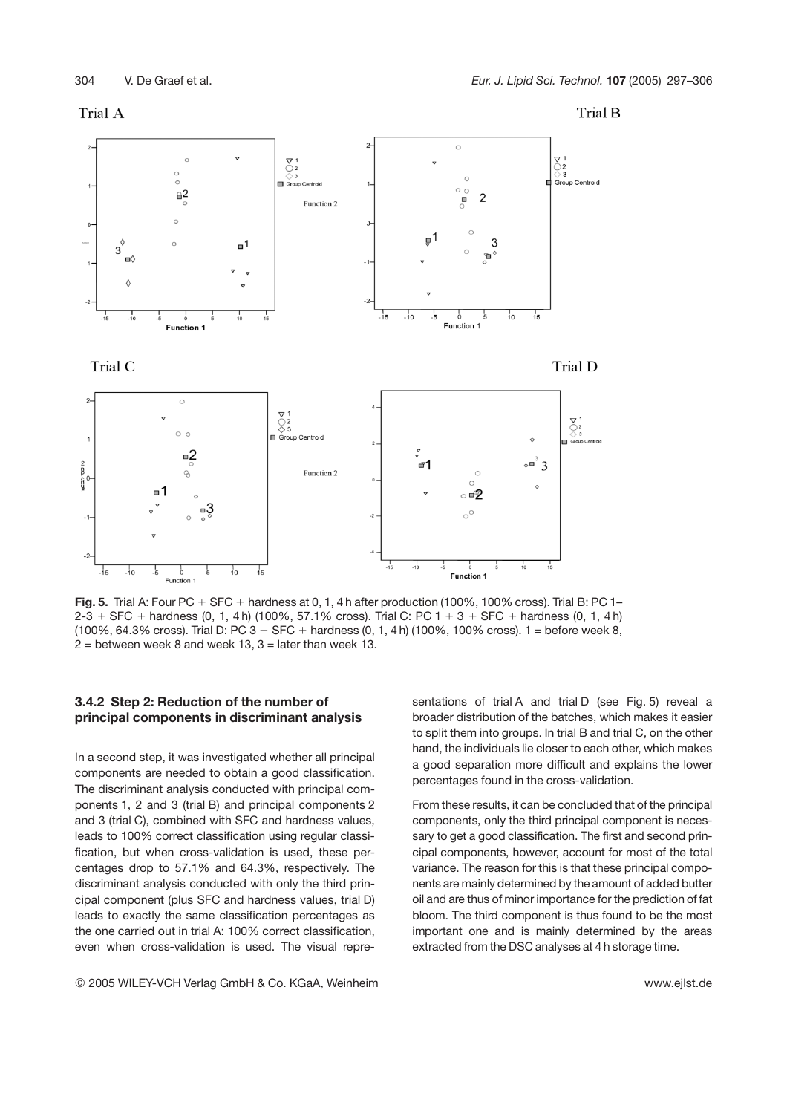





**Fig. 5.** Trial A: Four PC  $+$  SFC  $+$  hardness at 0, 1, 4 h after production (100%, 100% cross). Trial B: PC 1–  $2-3 + SFC +$  hardness (0, 1, 4 h) (100%, 57.1% cross). Trial C: PC  $1 + 3 + SFC +$  hardness (0, 1, 4 h)  $(100\%, 64.3\%$  cross). Trial D: PC  $3 + SFC +$  hardness  $(0, 1, 4 h)$  (100%, 100% cross). 1 = before week 8,  $2 =$  between week 8 and week 13,  $3 =$  later than week 13.

# **3.4.2 Step 2: Reduction of the number of principal components in discriminant analysis**

In a second step, it was investigated whether all principal components are needed to obtain a good classification. The discriminant analysis conducted with principal components 1, 2 and 3 (trial B) and principal components 2 and 3 (trial C), combined with SFC and hardness values, leads to 100% correct classification using regular classification, but when cross-validation is used, these percentages drop to 57.1% and 64.3%, respectively. The discriminant analysis conducted with only the third principal component (plus SFC and hardness values, trial D) leads to exactly the same classification percentages as the one carried out in trial A: 100% correct classification, even when cross-validation is used. The visual representations of trial A and trial D (see Fig. 5) reveal a broader distribution of the batches, which makes it easier to split them into groups. In trial B and trial C, on the other hand, the individuals lie closer to each other, which makes a good separation more difficult and explains the lower percentages found in the cross-validation.

From these results, it can be concluded that of the principal components, only the third principal component is necessary to get a good classification. The first and second principal components, however, account for most of the total variance. The reason for this is that these principal components are mainly determined by the amount of added butter oil and are thus of minor importance for the prediction of fat bloom. The third component is thus found to be the most important one and is mainly determined by the areas extracted from the DSC analyses at 4 h storage time.

2005 WILEY-VCH Verlag GmbH & Co. KGaA, Weinheim www.ejlst.de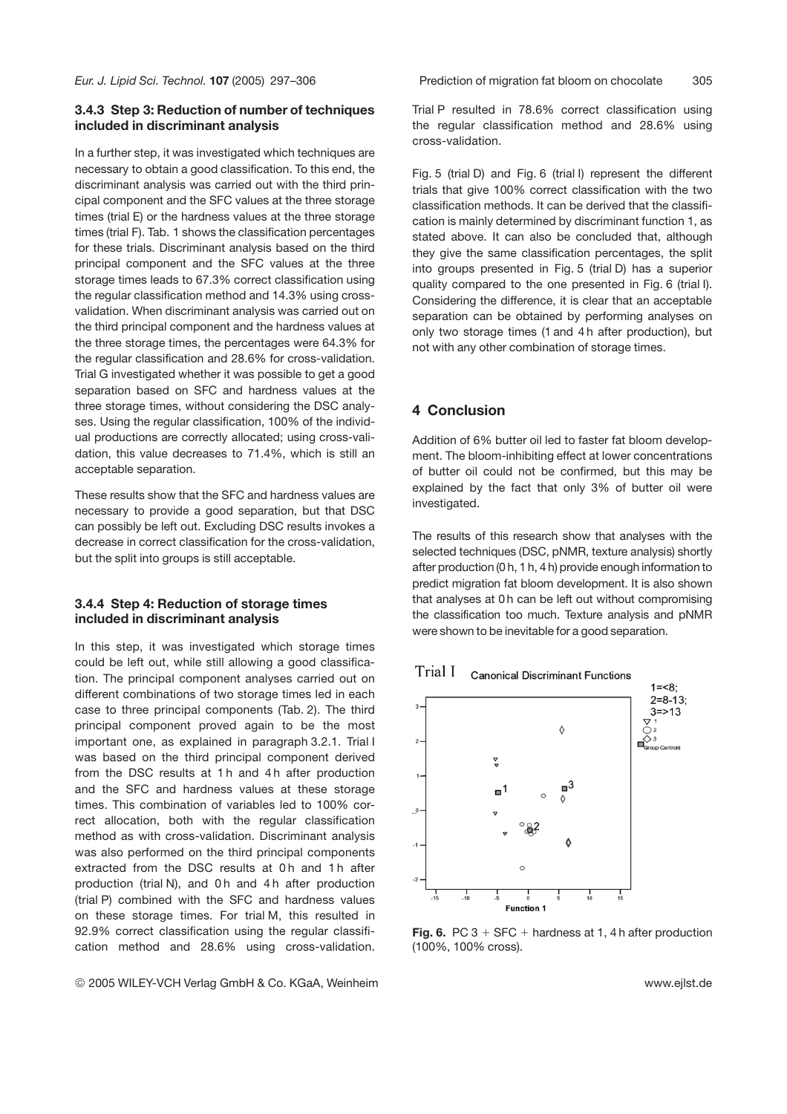# **3.4.3 Step 3: Reduction of number of techniques included in discriminant analysis**

In a further step, it was investigated which techniques are necessary to obtain a good classification. To this end, the discriminant analysis was carried out with the third principal component and the SFC values at the three storage times (trial E) or the hardness values at the three storage times (trial F). Tab. 1 shows the classification percentages for these trials. Discriminant analysis based on the third principal component and the SFC values at the three storage times leads to 67.3% correct classification using the regular classification method and 14.3% using crossvalidation. When discriminant analysis was carried out on the third principal component and the hardness values at the three storage times, the percentages were 64.3% for the regular classification and 28.6% for cross-validation. Trial G investigated whether it was possible to get a good separation based on SFC and hardness values at the three storage times, without considering the DSC analyses. Using the regular classification, 100% of the individual productions are correctly allocated; using cross-validation, this value decreases to 71.4%, which is still an acceptable separation.

These results show that the SFC and hardness values are necessary to provide a good separation, but that DSC can possibly be left out. Excluding DSC results invokes a decrease in correct classification for the cross-validation, but the split into groups is still acceptable.

# **3.4.4 Step 4: Reduction of storage times included in discriminant analysis**

In this step, it was investigated which storage times could be left out, while still allowing a good classification. The principal component analyses carried out on different combinations of two storage times led in each case to three principal components (Tab. 2). The third principal component proved again to be the most important one, as explained in paragraph 3.2.1. Trial I was based on the third principal component derived from the DSC results at 1h and 4h after production and the SFC and hardness values at these storage times. This combination of variables led to 100% correct allocation, both with the regular classification method as with cross-validation. Discriminant analysis was also performed on the third principal components extracted from the DSC results at 0h and 1h after production (trial N), and 0 h and 4 h after production (trial P) combined with the SFC and hardness values on these storage times. For trial M, this resulted in 92.9% correct classification using the regular classification method and 28.6% using cross-validation.

2005 WILEY-VCH Verlag GmbH & Co. KGaA, Weinheim www.ejlst.de

*Eur. J. Lipid Sci. Technol.* **107** (2005) 297–306 Prediction of migration fat bloom on chocolate 305

Trial P resulted in 78.6% correct classification using the regular classification method and 28.6% using cross-validation.

Fig. 5 (trial D) and Fig. 6 (trial I) represent the different trials that give 100% correct classification with the two classification methods. It can be derived that the classification is mainly determined by discriminant function 1, as stated above. It can also be concluded that, although they give the same classification percentages, the split into groups presented in Fig. 5 (trial D) has a superior quality compared to the one presented in Fig. 6 (trial I). Considering the difference, it is clear that an acceptable separation can be obtained by performing analyses on only two storage times (1 and 4 h after production), but not with any other combination of storage times.

# **4 Conclusion**

Addition of 6% butter oil led to faster fat bloom development. The bloom-inhibiting effect at lower concentrations of butter oil could not be confirmed, but this may be explained by the fact that only 3% of butter oil were investigated.

The results of this research show that analyses with the selected techniques (DSC, pNMR, texture analysis) shortly after production (0 h, 1 h, 4 h) provide enough information to predict migration fat bloom development. It is also shown that analyses at 0 h can be left out without compromising the classification too much. Texture analysis and pNMR were shown to be inevitable for a good separation.





**Fig. 6.** PC  $3 + SFC +$  hardness at 1, 4 h after production (100%, 100% cross).